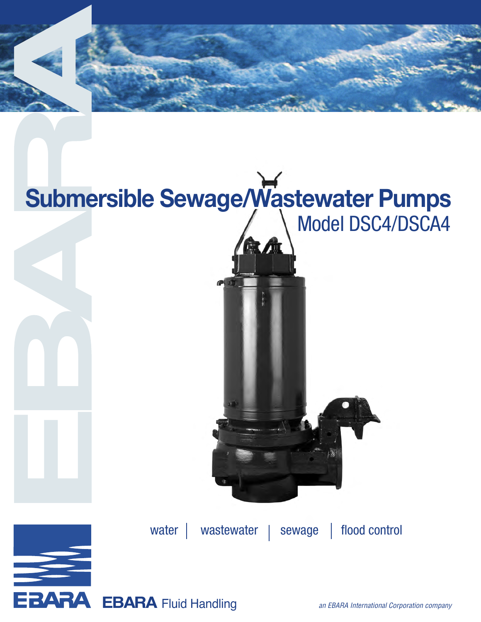

# Model DSC4/DSCA4 **Submersible Sewage/Wastewater Pumps**



water | wastewater | sewage | flood control

**EBARA** Fluid Handling and EBARA International Corporation company